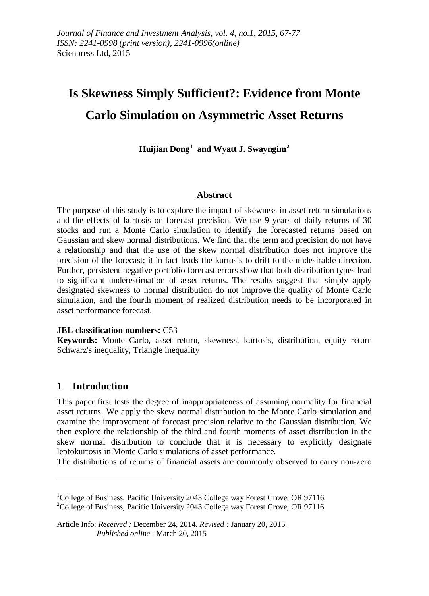# **Is Skewness Simply Sufficient?: Evidence from Monte Carlo Simulation on Asymmetric Asset Returns**

**Huijian Dong[1](#page-0-0) and Wyatt J. Swayngim[2](#page-0-1)**

#### **Abstract**

The purpose of this study is to explore the impact of skewness in asset return simulations and the effects of kurtosis on forecast precision. We use 9 years of daily returns of 30 stocks and run a Monte Carlo simulation to identify the forecasted returns based on Gaussian and skew normal distributions. We find that the term and precision do not have a relationship and that the use of the skew normal distribution does not improve the precision of the forecast; it in fact leads the kurtosis to drift to the undesirable direction. Further, persistent negative portfolio forecast errors show that both distribution types lead to significant underestimation of asset returns. The results suggest that simply apply designated skewness to normal distribution do not improve the quality of Monte Carlo simulation, and the fourth moment of realized distribution needs to be incorporated in asset performance forecast.

#### **JEL classification numbers:** C53

**Keywords:** Monte Carlo, asset return, skewness, kurtosis, distribution, equity return Schwarz's inequality, Triangle inequality

# **1 Introduction**

 $\overline{a}$ 

This paper first tests the degree of inappropriateness of assuming normality for financial asset returns. We apply the skew normal distribution to the Monte Carlo simulation and examine the improvement of forecast precision relative to the Gaussian distribution. We then explore the relationship of the third and fourth moments of asset distribution in the skew normal distribution to conclude that it is necessary to explicitly designate leptokurtosis in Monte Carlo simulations of asset performance.

The distributions of returns of financial assets are commonly observed to carry non-zero

<span id="page-0-1"></span><span id="page-0-0"></span><sup>&</sup>lt;sup>1</sup>College of Business, Pacific University 2043 College way Forest Grove, OR 97116.  $^{2}$ College of Business, Pacific University 2043 College way Forest Grove, OR 97116.

Article Info: *Received :* December 24, 2014*. Revised :* January 20, 2015.  *Published online* : March 20, 2015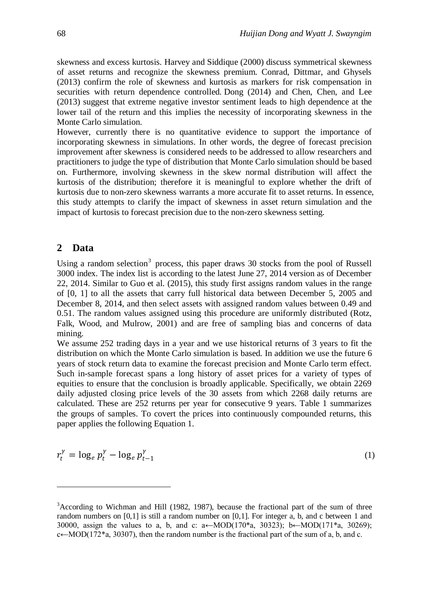skewness and excess kurtosis. Harvey and Siddique (2000) discuss symmetrical skewness of asset returns and recognize the skewness premium. Conrad, Dittmar, and Ghysels (2013) confirm the role of skewness and kurtosis as markers for risk compensation in securities with return dependence controlled. Dong (2014) and Chen, Chen, and Lee (2013) suggest that extreme negative investor sentiment leads to high dependence at the lower tail of the return and this implies the necessity of incorporating skewness in the Monte Carlo simulation.

However, currently there is no quantitative evidence to support the importance of incorporating skewness in simulations. In other words, the degree of forecast precision improvement after skewness is considered needs to be addressed to allow researchers and practitioners to judge the type of distribution that Monte Carlo simulation should be based on. Furthermore, involving skewness in the skew normal distribution will affect the kurtosis of the distribution; therefore it is meaningful to explore whether the drift of kurtosis due to non-zero skewness warrants a more accurate fit to asset returns. In essence, this study attempts to clarify the impact of skewness in asset return simulation and the impact of kurtosis to forecast precision due to the non-zero skewness setting.

#### **2 Data**

 $\overline{a}$ 

Using a random selection<sup>[3](#page-0-1)</sup> process, this paper draws 30 stocks from the pool of Russell 3000 index. The index list is according to the latest June 27, 2014 version as of December 22, 2014. Similar to Guo et al. (2015), this study first assigns random values in the range of [0, 1] to all the assets that carry full historical data between December 5, 2005 and December 8, 2014, and then select assets with assigned random values between 0.49 and 0.51. The random values assigned using this procedure are uniformly distributed (Rotz, Falk, Wood, and Mulrow, 2001) and are free of sampling bias and concerns of data mining.

We assume 252 trading days in a year and we use historical returns of 3 years to fit the distribution on which the Monte Carlo simulation is based. In addition we use the future 6 years of stock return data to examine the forecast precision and Monte Carlo term effect. Such in-sample forecast spans a long history of asset prices for a variety of types of equities to ensure that the conclusion is broadly applicable. Specifically, we obtain 2269 daily adjusted closing price levels of the 30 assets from which 2268 daily returns are calculated. These are 252 returns per year for consecutive 9 years. Table 1 summarizes the groups of samples. To covert the prices into continuously compounded returns, this paper applies the following Equation 1.

$$
r_t^{\gamma} = \log_e p_t^{\gamma} - \log_e p_{t-1}^{\gamma}
$$
 (1)

<sup>&</sup>lt;sup>3</sup>According to Wichman and Hill (1982, 1987), because the fractional part of the sum of three random numbers on [0,1] is still a random number on [0,1]. For integer a, b, and c between 1 and 30000, assign the values to a, b, and c:  $a \leftarrow MOD(170^*a, 30323)$ ; b $\leftarrow MOD(171^*a, 30269)$ ;  $c \leftarrow MOD(172^*a, 30307)$ , then the random number is the fractional part of the sum of a, b, and c.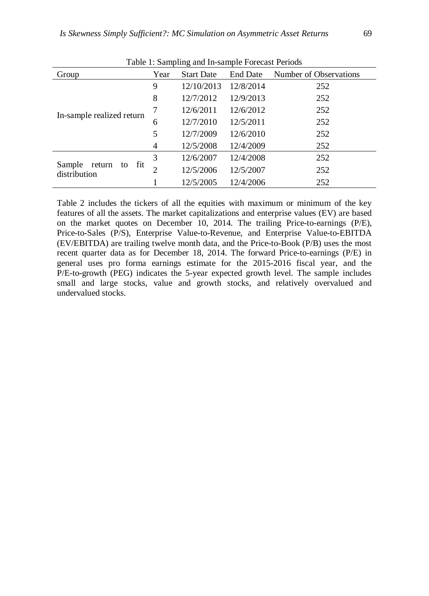| Tuoto 1: Bumphing and in Bampio I Steedst I cribus |      |                   |           |                        |  |  |  |  |
|----------------------------------------------------|------|-------------------|-----------|------------------------|--|--|--|--|
| Group                                              | Year | <b>Start Date</b> | End Date  | Number of Observations |  |  |  |  |
|                                                    | 9    | 12/10/2013        | 12/8/2014 | 252                    |  |  |  |  |
|                                                    | 8    | 12/7/2012         | 12/9/2013 | 252                    |  |  |  |  |
|                                                    | 7    | 12/6/2011         | 12/6/2012 | 252                    |  |  |  |  |
| In-sample realized return                          | 6    | 12/7/2010         | 12/5/2011 | 252                    |  |  |  |  |
|                                                    | 5    | 12/7/2009         | 12/6/2010 | 252                    |  |  |  |  |
|                                                    | 4    | 12/5/2008         | 12/4/2009 | 252                    |  |  |  |  |
|                                                    | 3    | 12/6/2007         | 12/4/2008 | 252                    |  |  |  |  |
| Sample<br>return to<br>fit<br>distribution         | 2    | 12/5/2006         | 12/5/2007 | 252                    |  |  |  |  |
|                                                    |      | 12/5/2005         | 12/4/2006 | 252                    |  |  |  |  |

Table 1: Sampling and In-sample Forecast Periods

Table 2 includes the tickers of all the equities with maximum or minimum of the key features of all the assets. The market capitalizations and enterprise values (EV) are based on the market quotes on December 10, 2014. The trailing Price-to-earnings (P/E), Price-to-Sales (P/S), Enterprise Value-to-Revenue, and Enterprise Value-to-EBITDA (EV/EBITDA) are trailing twelve month data, and the Price-to-Book (P/B) uses the most recent quarter data as for December 18, 2014. The forward Price-to-earnings (P/E) in general uses pro forma earnings estimate for the 2015-2016 fiscal year, and the P/E-to-growth (PEG) indicates the 5-year expected growth level. The sample includes small and large stocks, value and growth stocks, and relatively overvalued and undervalued stocks.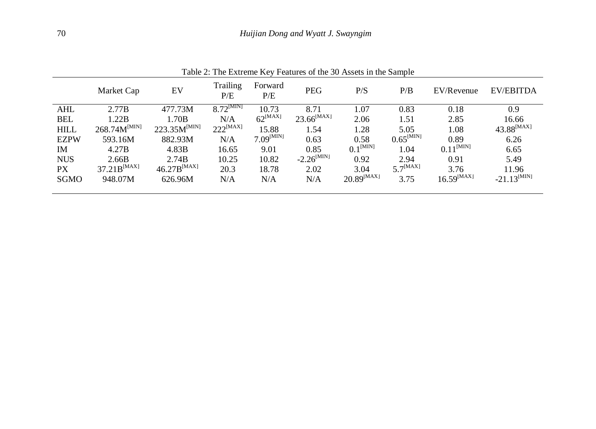|             | Fault 2. The Extreme Key Peatures of the 30 Assets In the Sample |                   |                 |                     |                        |                          |                       |                 |                         |
|-------------|------------------------------------------------------------------|-------------------|-----------------|---------------------|------------------------|--------------------------|-----------------------|-----------------|-------------------------|
|             | Market Cap                                                       | EV                | Trailing<br>P/E | Forward<br>P/E      | <b>PEG</b>             | P/S                      | P/B                   | EV/Revenue      | EV/EBITDA               |
| <b>AHL</b>  | 2.77B                                                            | 477.73M           | $8.72^{[MIN]}$  | 10.73               | 8.71                   | 1.07                     | 0.83                  | 0.18            | 0.9                     |
| <b>BEL</b>  | 1.22B                                                            | 1.70B             | N/A             | $62^{\text{[MAX]}}$ | $23.66^{[MAX]}$        | 2.06                     | 1.51                  | 2.85            | 16.66                   |
| <b>HILL</b> | $268.74M^{[MIN]}$                                                | $223.35M^{[MIN]}$ | $222^{[MAX]}$   | 15.88               | 1.54                   | 1.28                     | 5.05                  | 1.08            | $43.88^{[MAX]}$         |
| <b>EZPW</b> | 593.16M                                                          | 882.93M           | N/A             | $7.09^{[MIN]}$      | 0.63                   | 0.58                     | $0.65^{\text{[MIN]}}$ | 0.89            | 6.26                    |
| <b>IM</b>   | 4.27B                                                            | 4.83B             | 16.65           | 9.01                | 0.85                   | $0.1^{\text{[MIN]}}$     | 1.04                  | $0.11^{[MIN]}$  | 6.65                    |
| <b>NUS</b>  | 2.66B                                                            | 2.74B             | 10.25           | 10.82               | $-2.26^{\text{[MIN]}}$ | 0.92                     | 2.94                  | 0.91            | 5.49                    |
| PX          | $37.21B^{[MAX]}$                                                 | $46.27B^{[MAX]}$  | 20.3            | 18.78               | 2.02                   | 3.04                     | $5.7^{[MAX]}$         | 3.76            | 11.96                   |
| <b>SGMO</b> | 948.07M                                                          | 626.96M           | N/A             | N/A                 | N/A                    | $20.89^{\mathrm{[MAX]}}$ | 3.75                  | $16.59^{[MAX]}$ | $-21.13^{\text{[MIN]}}$ |
|             |                                                                  |                   |                 |                     |                        |                          |                       |                 |                         |

Table 2: The Extreme Key Features of the 30 Assets in the Sample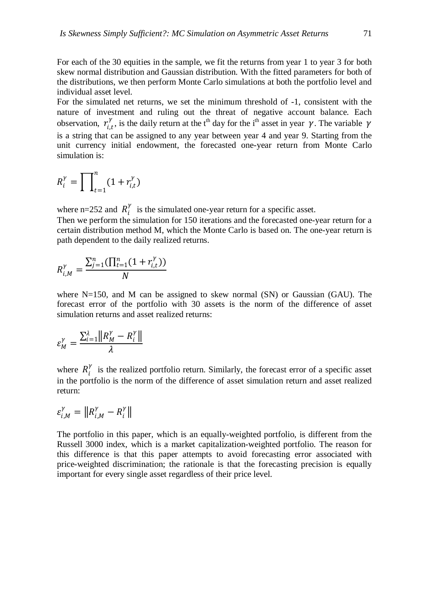For each of the 30 equities in the sample, we fit the returns from year 1 to year 3 for both skew normal distribution and Gaussian distribution. With the fitted parameters for both of the distributions, we then perform Monte Carlo simulations at both the portfolio level and

For the simulated net returns, we set the minimum threshold of -1, consistent with the nature of investment and ruling out the threat of negative account balance. Each observation,  $r_{i,t}^{\gamma}$ , is the daily return at the t<sup>th</sup> day for the i<sup>th</sup> asset in year  $\gamma$ . The variable  $\gamma$ is a string that can be assigned to any year between year 4 and year 9. Starting from the unit currency initial endowment, the forecasted one-year return from Monte Carlo simulation is:

$$
R_i^{\gamma} = \prod_{t=1}^n (1 + r_{i,t}^{\gamma})
$$

individual asset level.

where n=252 and  $R_i^{\gamma}$  is the simulated one-year return for a specific asset.

Then we perform the simulation for 150 iterations and the forecasted one-year return for a certain distribution method M, which the Monte Carlo is based on. The one-year return is path dependent to the daily realized returns.

$$
R_{i,M}^{\gamma} = \frac{\sum_{j=1}^{n} (\prod_{t=1}^{n} (1 + r_{i,t}^{\gamma}))}{N}
$$

where  $N=150$ , and M can be assigned to skew normal (SN) or Gaussian (GAU). The forecast error of the portfolio with 30 assets is the norm of the difference of asset simulation returns and asset realized returns:

$$
\varepsilon_M^{\gamma} = \frac{\sum_{i=1}^{\lambda} ||R_M^{\gamma} - R_i^{\gamma}||}{\lambda}
$$

where  $R_i^{\gamma}$  is the realized portfolio return. Similarly, the forecast error of a specific asset in the portfolio is the norm of the difference of asset simulation return and asset realized return:

$$
\varepsilon_{i,M}^{\gamma} = \|R_{i,M}^{\gamma} - R_i^{\gamma}\|
$$

The portfolio in this paper, which is an equally-weighted portfolio, is different from the Russell 3000 index, which is a market capitalization-weighted portfolio. The reason for this difference is that this paper attempts to avoid forecasting error associated with price-weighted discrimination; the rationale is that the forecasting precision is equally important for every single asset regardless of their price level.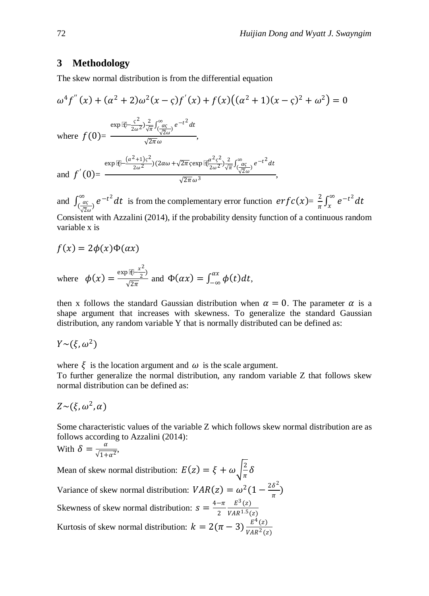# **3 Methodology**

The skew normal distribution is from the differential equation

$$
\omega^{4} f''(x) + (\alpha^{2} + 2)\omega^{2}(x - \zeta)f'(x) + f(x)((\alpha^{2} + 1)(x - \zeta)^{2} + \omega^{2}) = 0
$$
  
\nwhere  $f(0) = \frac{\exp{\left[\frac{\pi}{2}\right] - \frac{\zeta^{2}}{2\omega^{2}}\right)\frac{2}{\sqrt{\pi}}\int_{\frac{\sqrt{2\omega}}{\sqrt{2\omega}}}}{\sqrt{2\pi}\omega},$   
\nand  $f'(0) = \frac{\exp{\left[\frac{\pi}{2}\right] - \frac{(\alpha^{2} + 1)\zeta^{2}}{2\omega^{2}}\right)(2\alpha\omega + \sqrt{2\pi}\zeta\exp{\left[\frac{\pi^{2}\zeta^{2}}{2\omega^{2}}\right)\frac{2}{\sqrt{\pi}}\int_{\frac{\alpha\zeta}{\sqrt{2\omega}}}}^{\infty}e^{-t^{2}}dt}{\sqrt{2\pi}\omega^{3}},$ 

and  $\int_{(\frac{\alpha}{\sqrt{2}\omega})}^{\infty} e^{-t^2} dt$  is from the complementary error function  $erfc(x) = \frac{2}{\pi} \int_{x}^{\infty} e^{-t^2} dt$ Consistent with Azzalini (2014), if the probability density function of a continuous random variable x is

$$
f(x) = 2\phi(x)\Phi(\alpha x)
$$

where 
$$
\phi(x) = \frac{\exp{i(\pi - x^2)}}{\sqrt{2\pi}}
$$
 and  $\Phi(\alpha x) = \int_{-\infty}^{\alpha x} \phi(t) dt$ ,

then x follows the standard Gaussian distribution when  $\alpha = 0$ . The parameter  $\alpha$  is a shape argument that increases with skewness. To generalize the standard Gaussian distribution, any random variable Y that is normally distributed can be defined as:

$$
Y \sim (\xi, \omega^2)
$$

where  $\xi$  is the location argument and  $\omega$  is the scale argument.

To further generalize the normal distribution, any random variable Z that follows skew normal distribution can be defined as:

$$
Z \sim (\xi, \omega^2, \alpha)
$$

Some characteristic values of the variable Z which follows skew normal distribution are as follows according to Azzalini (2014):

With 
$$
\delta = \frac{\alpha}{\sqrt{1 + \alpha^2}},
$$

Mean of skew normal distribution:  $E(z) = \xi + \omega \sqrt{\frac{2}{\pi}} \delta$ Variance of skew normal distribution:  $VAR(z) = \omega^2 (1 - \frac{2\delta^2}{\pi})$ Skewness of skew normal distribution:  $s = \frac{4-\pi}{2}$  $E^3(z)$  $VAR^{1.5}(z)$ Kurtosis of skew normal distribution:  $k = 2(\pi - 3) \frac{E^4(z)}{VAR^2(z)}$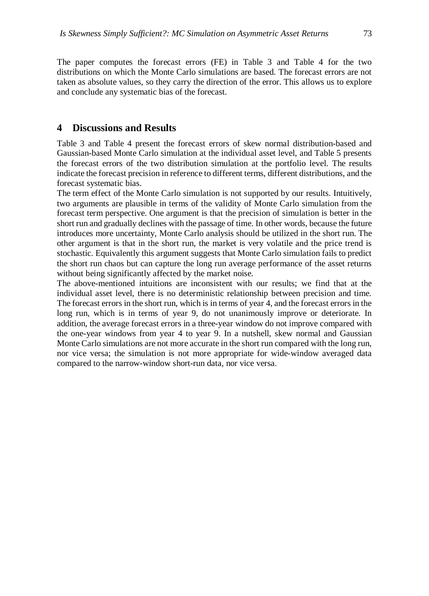The paper computes the forecast errors (FE) in Table 3 and Table 4 for the two distributions on which the Monte Carlo simulations are based. The forecast errors are not taken as absolute values, so they carry the direction of the error. This allows us to explore and conclude any systematic bias of the forecast.

## **4 Discussions and Results**

Table 3 and Table 4 present the forecast errors of skew normal distribution-based and Gaussian-based Monte Carlo simulation at the individual asset level, and Table 5 presents the forecast errors of the two distribution simulation at the portfolio level. The results indicate the forecast precision in reference to different terms, different distributions, and the forecast systematic bias.

The term effect of the Monte Carlo simulation is not supported by our results. Intuitively, two arguments are plausible in terms of the validity of Monte Carlo simulation from the forecast term perspective. One argument is that the precision of simulation is better in the short run and gradually declines with the passage of time. In other words, because the future introduces more uncertainty, Monte Carlo analysis should be utilized in the short run. The other argument is that in the short run, the market is very volatile and the price trend is stochastic. Equivalently this argument suggests that Monte Carlo simulation fails to predict the short run chaos but can capture the long run average performance of the asset returns without being significantly affected by the market noise.

The above-mentioned intuitions are inconsistent with our results; we find that at the individual asset level, there is no deterministic relationship between precision and time. The forecast errors in the short run, which is in terms of year 4, and the forecast errors in the long run, which is in terms of year 9, do not unanimously improve or deteriorate. In addition, the average forecast errors in a three-year window do not improve compared with the one-year windows from year 4 to year 9. In a nutshell, skew normal and Gaussian Monte Carlo simulations are not more accurate in the short run compared with the long run, nor vice versa; the simulation is not more appropriate for wide-window averaged data compared to the narrow-window short-run data, nor vice versa.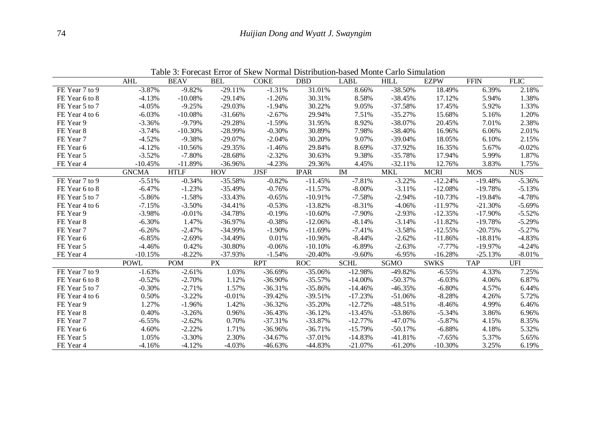|                | <b>AHL</b>   | <b>BEAV</b> | <b>BEL</b> | <b>COKE</b> | <b>DBD</b>  | <b>LABL</b> | <b>HILL</b> | <b>EZPW</b> | <b>FFIN</b> | <b>FLIC</b> |
|----------------|--------------|-------------|------------|-------------|-------------|-------------|-------------|-------------|-------------|-------------|
| FE Year 7 to 9 | $-3.87%$     | $-9.82%$    | $-29.11%$  | $-1.31%$    | 31.01%      | 8.66%       | $-38.50%$   | 18.49%      | 6.39%       | 2.18%       |
| FE Year 6 to 8 | $-4.13%$     | $-10.08%$   | $-29.14%$  | $-1.26%$    | 30.31%      | 8.58%       | $-38.45%$   | 17.12%      | 5.94%       | 1.38%       |
| FE Year 5 to 7 | $-4.05%$     | $-9.25%$    | $-29.03%$  | $-1.94%$    | 30.22%      | 9.05%       | $-37.58%$   | 17.45%      | 5.92%       | 1.33%       |
| FE Year 4 to 6 | $-6.03%$     | $-10.08%$   | $-31.66%$  | $-2.67%$    | 29.94%      | 7.51%       | $-35.27%$   | 15.68%      | 5.16%       | 1.20%       |
| FE Year 9      | $-3.36%$     | $-9.79%$    | $-29.28%$  | $-1.59%$    | 31.95%      | 8.92%       | $-38.07%$   | 20.45%      | 7.01%       | 2.38%       |
| FE Year 8      | $-3.74%$     | $-10.30%$   | $-28.99%$  | $-0.30%$    | 30.89%      | 7.98%       | $-38.40%$   | 16.96%      | 6.06%       | 2.01%       |
| FE Year 7      | $-4.52%$     | $-9.38%$    | $-29.07%$  | $-2.04%$    | 30.20%      | 9.07%       | $-39.04%$   | 18.05%      | 6.10%       | 2.15%       |
| FE Year 6      | $-4.12%$     | $-10.56%$   | $-29.35%$  | $-1.46%$    | 29.84%      | 8.69%       | $-37.92%$   | 16.35%      | 5.67%       | $-0.02%$    |
| FE Year 5      | $-3.52%$     | $-7.80%$    | $-28.68%$  | $-2.32%$    | 30.63%      | 9.38%       | $-35.78%$   | 17.94%      | 5.99%       | 1.87%       |
| FE Year 4      | $-10.45%$    | $-11.89%$   | -36.96%    | $-4.23%$    | 29.36%      | 4.45%       | $-32.11%$   | 12.76%      | 3.83%       | 1.75%       |
|                | <b>GNCMA</b> | <b>HTLF</b> | <b>HOV</b> | <b>JJSF</b> | <b>IPAR</b> | IM          | <b>MKL</b>  | <b>MCRI</b> | <b>MOS</b>  | <b>NUS</b>  |
| FE Year 7 to 9 | $-5.51%$     | $-0.34%$    | $-35.58%$  | $-0.82%$    | $-11.45%$   | $-7.81%$    | $-3.22%$    | $-12.24%$   | $-19.48%$   | $-5.36%$    |
| FE Year 6 to 8 | $-6.47%$     | $-1.23%$    | $-35.49%$  | $-0.76%$    | $-11.57%$   | $-8.00\%$   | $-3.11%$    | $-12.08%$   | $-19.78%$   | $-5.13%$    |
| FE Year 5 to 7 | $-5.86%$     | $-1.58%$    | $-33.43%$  | $-0.65%$    | $-10.91%$   | $-7.58%$    | $-2.94%$    | $-10.73%$   | $-19.84%$   | $-4.78%$    |
| FE Year 4 to 6 | $-7.15%$     | $-3.50%$    | $-34.41%$  | $-0.53%$    | $-13.82%$   | $-8.31%$    | $-4.06%$    | $-11.97%$   | $-21.30%$   | $-5.69%$    |
| FE Year 9      | $-3.98%$     | $-0.01%$    | $-34.78%$  | $-0.19%$    | $-10.60\%$  | $-7.90%$    | $-2.93%$    | $-12.35%$   | $-17.90\%$  | $-5.52%$    |
| FE Year 8      | $-6.30%$     | 1.47%       | $-36.97%$  | $-0.38%$    | $-12.06%$   | $-8.14%$    | $-3.14%$    | $-11.82%$   | $-19.78%$   | $-5.29%$    |
| FE Year 7      | $-6.26%$     | $-2.47%$    | $-34.99%$  | $-1.90%$    | $-11.69%$   | $-7.41%$    | $-3.58%$    | $-12.55%$   | $-20.75%$   | $-5.27%$    |
| FE Year 6      | $-6.85%$     | $-2.69%$    | $-34.49%$  | 0.01%       | $-10.96%$   | $-8.44%$    | $-2.62%$    | $-11.86%$   | $-18.81%$   | $-4.83%$    |
| FE Year 5      | $-4.46%$     | 0.42%       | $-30.80%$  | $-0.06%$    | $-10.10%$   | $-6.89%$    | $-2.63%$    | $-7.77%$    | $-19.97%$   | $-4.24%$    |
| FE Year 4      | $-10.15%$    | $-8.22%$    | $-37.93%$  | $-1.54%$    | $-20.40%$   | $-9.60%$    | $-6.95%$    | $-16.28%$   | $-25.13%$   | $-8.01%$    |
|                | <b>POWL</b>  | <b>POM</b>  | <b>PX</b>  | <b>RPT</b>  | <b>ROC</b>  | <b>SCHL</b> | <b>SGMO</b> | <b>SWKS</b> | <b>TAP</b>  | <b>UFI</b>  |
| FE Year 7 to 9 | $-1.63%$     | $-2.61%$    | 1.03%      | $-36.69%$   | $-35.06%$   | $-12.98%$   | $-49.82%$   | $-6.55%$    | 4.33%       | 7.25%       |
| FE Year 6 to 8 | $-0.52%$     | $-2.70%$    | 1.12%      | $-36.90%$   | $-35.57%$   | $-14.00%$   | $-50.37%$   | $-6.03%$    | 4.06%       | 6.87%       |
| FE Year 5 to 7 | $-0.30%$     | $-2.71%$    | 1.57%      | $-36.31%$   | $-35.86%$   | $-14.46%$   | $-46.35%$   | $-6.80%$    | 4.57%       | 6.44%       |
| FE Year 4 to 6 | 0.50%        | $-3.22%$    | $-0.01%$   | $-39.42%$   | $-39.51%$   | $-17.23%$   | $-51.06%$   | $-8.28%$    | 4.26%       | 5.72%       |
| FE Year 9      | 1.27%        | $-1.96%$    | 1.42%      | $-36.32%$   | $-35.20%$   | $-12.72%$   | $-48.51%$   | $-8.46%$    | 4.99%       | 6.46%       |
| FE Year 8      | 0.40%        | $-3.26%$    | 0.96%      | $-36.43%$   | $-36.12%$   | $-13.45%$   | $-53.86%$   | $-5.34%$    | 3.86%       | 6.96%       |
| FE Year 7      | $-6.55%$     | $-2.62%$    | 0.70%      | $-37.31%$   | $-33.87%$   | $-12.77%$   | $-47.07%$   | $-5.87%$    | 4.15%       | 8.35%       |
| FE Year 6      | 4.60%        | $-2.22%$    | 1.71%      | $-36.96%$   | $-36.71%$   | $-15.79%$   | $-50.17%$   | $-6.88%$    | 4.18%       | 5.32%       |
| FE Year 5      | 1.05%        | $-3.30%$    | 2.30%      | $-34.67%$   | $-37.01%$   | $-14.83%$   | -41.81%     | $-7.65%$    | 5.37%       | 5.65%       |
| FE Year 4      | $-4.16%$     | $-4.12%$    | $-4.03%$   | $-46.63%$   | $-44.83%$   | $-21.07%$   | $-61.20%$   | $-10.30%$   | 3.25%       | 6.19%       |

Table 3: Forecast Error of Skew Normal Distribution-based Monte Carlo Simulation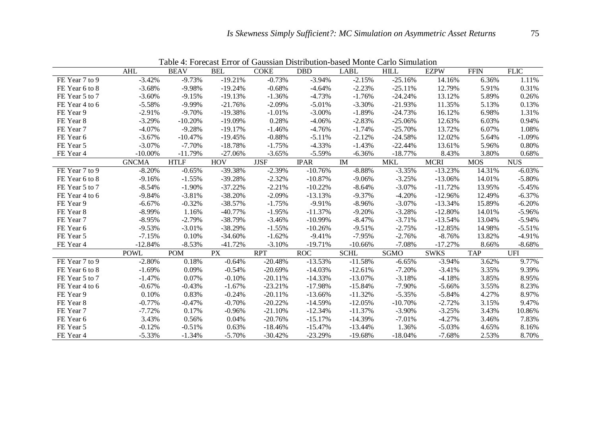|                | <b>AHL</b>   | <b>BEAV</b> | <b>BEL</b> | <b>COKE</b> | <b>DBD</b>  | LABL        | <b>HILL</b> | <b>EZPW</b> | <b>FFIN</b> | <b>FLIC</b> |
|----------------|--------------|-------------|------------|-------------|-------------|-------------|-------------|-------------|-------------|-------------|
| FE Year 7 to 9 | $-3.42%$     | $-9.73%$    | $-19.21%$  | $-0.73%$    | $-3.94%$    | $-2.15%$    | $-25.16%$   | 14.16%      | 6.36%       | 1.11%       |
| FE Year 6 to 8 | $-3.68%$     | $-9.98%$    | $-19.24%$  | $-0.68%$    | $-4.64%$    | $-2.23%$    | $-25.11%$   | 12.79%      | 5.91%       | 0.31%       |
| FE Year 5 to 7 | $-3.60%$     | $-9.15%$    | $-19.13%$  | $-1.36%$    | $-4.73%$    | $-1.76%$    | $-24.24%$   | 13.12%      | 5.89%       | 0.26%       |
| FE Year 4 to 6 | $-5.58%$     | $-9.99%$    | $-21.76%$  | $-2.09%$    | $-5.01%$    | $-3.30%$    | $-21.93%$   | 11.35%      | 5.13%       | 0.13%       |
| FE Year 9      | $-2.91%$     | $-9.70%$    | $-19.38%$  | $-1.01%$    | $-3.00\%$   | $-1.89%$    | $-24.73%$   | 16.12%      | 6.98%       | 1.31%       |
| FE Year 8      | $-3.29%$     | $-10.20%$   | $-19.09%$  | 0.28%       | $-4.06%$    | $-2.83%$    | $-25.06%$   | 12.63%      | 6.03%       | 0.94%       |
| FE Year 7      | $-4.07%$     | $-9.28%$    | $-19.17%$  | $-1.46%$    | $-4.76%$    | $-1.74%$    | $-25.70%$   | 13.72%      | 6.07%       | 1.08%       |
| FE Year 6      | $-3.67%$     | $-10.47%$   | $-19.45%$  | $-0.88%$    | $-5.11%$    | $-2.12%$    | $-24.58%$   | 12.02%      | 5.64%       | $-1.09%$    |
| FE Year 5      | $-3.07%$     | $-7.70%$    | $-18.78%$  | $-1.75%$    | $-4.33%$    | $-1.43%$    | $-22.44%$   | 13.61%      | 5.96%       | 0.80%       |
| FE Year 4      | $-10.00\%$   | $-11.79%$   | $-27.06%$  | $-3.65%$    | $-5.59%$    | $-6.36%$    | $-18.77%$   | 8.43%       | 3.80%       | 0.68%       |
|                | <b>GNCMA</b> | <b>HTLF</b> | <b>HOV</b> | <b>JJSF</b> | <b>IPAR</b> | <b>IM</b>   | <b>MKL</b>  | <b>MCRI</b> | <b>MOS</b>  | <b>NUS</b>  |
| FE Year 7 to 9 | $-8.20%$     | $-0.65%$    | $-39.38%$  | $-2.39%$    | $-10.76%$   | $-8.88%$    | $-3.35%$    | $-13.23%$   | 14.31%      | $-6.03%$    |
| FE Year 6 to 8 | $-9.16%$     | $-1.55%$    | $-39.28%$  | $-2.32%$    | $-10.87%$   | $-9.06%$    | $-3.25%$    | $-13.06%$   | 14.01%      | $-5.80%$    |
| FE Year 5 to 7 | $-8.54%$     | $-1.90%$    | $-37.22%$  | $-2.21%$    | $-10.22%$   | $-8.64%$    | $-3.07%$    | $-11.72%$   | 13.95%      | $-5.45%$    |
| FE Year 4 to 6 | $-9.84%$     | $-3.81%$    | $-38.20%$  | $-2.09%$    | $-13.13%$   | $-9.37%$    | $-4.20%$    | $-12.96%$   | 12.49%      | $-6.37%$    |
| FE Year 9      | $-6.67%$     | $-0.32%$    | $-38.57%$  | $-1.75%$    | $-9.91%$    | $-8.96%$    | $-3.07%$    | $-13.34%$   | 15.89%      | $-6.20%$    |
| FE Year 8      | $-8.99%$     | 1.16%       | $-40.77%$  | $-1.95%$    | $-11.37%$   | $-9.20%$    | $-3.28%$    | $-12.80%$   | 14.01%      | $-5.96%$    |
| FE Year 7      | $-8.95%$     | $-2.79%$    | $-38.79%$  | $-3.46%$    | $-10.99%$   | $-8.47%$    | $-3.71%$    | $-13.54%$   | 13.04%      | $-5.94%$    |
| FE Year 6      | $-9.53%$     | $-3.01%$    | $-38.29%$  | $-1.55%$    | $-10.26%$   | $-9.51%$    | $-2.75%$    | $-12.85%$   | 14.98%      | $-5.51%$    |
| FE Year 5      | $-7.15%$     | 0.10%       | $-34.60%$  | $-1.62%$    | $-9.41%$    | $-7.95%$    | $-2.76%$    | $-8.76%$    | 13.82%      | $-4.91%$    |
| FE Year 4      | $-12.84%$    | $-8.53%$    | $-41.72%$  | $-3.10%$    | $-19.71%$   | $-10.66%$   | $-7.08%$    | $-17.27%$   | 8.66%       | $-8.68%$    |
|                | <b>POWL</b>  | <b>POM</b>  | <b>PX</b>  | <b>RPT</b>  | <b>ROC</b>  | <b>SCHL</b> | <b>SGMO</b> | <b>SWKS</b> | <b>TAP</b>  | <b>UFI</b>  |
| FE Year 7 to 9 | $-2.80%$     | 0.18%       | $-0.64%$   | $-20.48%$   | $-13.53%$   | $-11.58%$   | $-6.65%$    | $-3.94%$    | 3.62%       | 9.77%       |
| FE Year 6 to 8 | $-1.69%$     | 0.09%       | $-0.54%$   | $-20.69%$   | $-14.03%$   | $-12.61%$   | $-7.20%$    | $-3.41%$    | 3.35%       | 9.39%       |
| FE Year 5 to 7 | $-1.47%$     | 0.07%       | $-0.10%$   | $-20.11%$   | $-14.33%$   | $-13.07%$   | $-3.18%$    | $-4.18%$    | 3.85%       | 8.95%       |
| FE Year 4 to 6 | $-0.67%$     | $-0.43%$    | $-1.67\%$  | $-23.21%$   | $-17.98%$   | $-15.84%$   | $-7.90%$    | $-5.66%$    | 3.55%       | 8.23%       |
| FE Year 9      | 0.10%        | 0.83%       | $-0.24%$   | $-20.11%$   | $-13.66%$   | $-11.32%$   | $-5.35%$    | $-5.84%$    | 4.27%       | 8.97%       |
| FE Year 8      | $-0.77%$     | $-0.47%$    | $-0.70%$   | $-20.22%$   | $-14.59%$   | $-12.05%$   | $-10.70%$   | $-2.72%$    | 3.15%       | 9.47%       |
| FE Year 7      | $-7.72%$     | 0.17%       | $-0.96%$   | $-21.10%$   | $-12.34%$   | $-11.37%$   | $-3.90\%$   | $-3.25%$    | 3.43%       | 10.86%      |
| FE Year 6      | 3.43%        | 0.56%       | 0.04%      | $-20.76%$   | $-15.17%$   | $-14.39%$   | $-7.01%$    | $-4.27%$    | 3.46%       | 7.83%       |
| FE Year 5      | $-0.12%$     | $-0.51%$    | 0.63%      | $-18.46%$   | $-15.47%$   | $-13.44%$   | 1.36%       | $-5.03%$    | 4.65%       | 8.16%       |
| FE Year 4      | $-5.33%$     | $-1.34%$    | $-5.70%$   | $-30.42%$   | $-23.29%$   | $-19.68%$   | $-18.04%$   | $-7.68%$    | 2.53%       | 8.70%       |

Table 4: Forecast Error of Gaussian Distribution-based Monte Carlo Simulation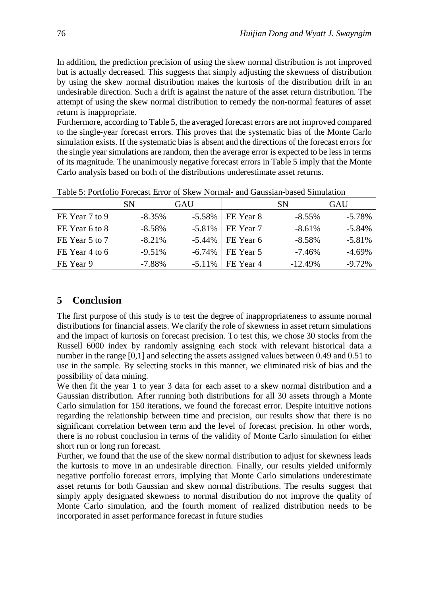In addition, the prediction precision of using the skew normal distribution is not improved but is actually decreased. This suggests that simply adjusting the skewness of distribution by using the skew normal distribution makes the kurtosis of the distribution drift in an undesirable direction. Such a drift is against the nature of the asset return distribution. The attempt of using the skew normal distribution to remedy the non-normal features of asset return is inappropriate.

Furthermore, according to Table 5, the averaged forecast errors are not improved compared to the single-year forecast errors. This proves that the systematic bias of the Monte Carlo simulation exists. If the systematic bias is absent and the directions of the forecast errors for the single year simulations are random, then the average error is expected to be less in terms of its magnitude. The unanimously negative forecast errors in Table 5 imply that the Monte Carlo analysis based on both of the distributions underestimate asset returns.

|                | <b>SN</b> | GAU       |             | -SN        | GAU       |
|----------------|-----------|-----------|-------------|------------|-----------|
| FE Year 7 to 9 | $-8.35\%$ | -5.58%    | I FE Year 8 | $-8.55\%$  | $-5.78\%$ |
| FE Year 6 to 8 | $-8.58\%$ | $-5.81\%$ | FE Year 7   | $-8.61\%$  | $-5.84\%$ |
| FE Year 5 to 7 | $-8.21\%$ | $-5.44\%$ | FE Year 6   | $-8.58\%$  | $-5.81\%$ |
| FE Year 4 to 6 | $-9.51\%$ | $-6.74\%$ | FE Year 5   | $-7.46\%$  | $-4.69\%$ |
| FE Year 9      | -7.88%    | $-5.11%$  | FE Year 4   | $-12.49\%$ | -9.72%    |

Table 5: Portfolio Forecast Error of Skew Normal- and Gaussian-based Simulation

## **5 Conclusion**

The first purpose of this study is to test the degree of inappropriateness to assume normal distributions for financial assets. We clarify the role of skewness in asset return simulations and the impact of kurtosis on forecast precision. To test this, we chose 30 stocks from the Russell 6000 index by randomly assigning each stock with relevant historical data a number in the range [0,1] and selecting the assets assigned values between 0.49 and 0.51 to use in the sample. By selecting stocks in this manner, we eliminated risk of bias and the possibility of data mining.

We then fit the year 1 to year 3 data for each asset to a skew normal distribution and a Gaussian distribution. After running both distributions for all 30 assets through a Monte Carlo simulation for 150 iterations, we found the forecast error. Despite intuitive notions regarding the relationship between time and precision, our results show that there is no significant correlation between term and the level of forecast precision. In other words, there is no robust conclusion in terms of the validity of Monte Carlo simulation for either short run or long run forecast.

Further, we found that the use of the skew normal distribution to adjust for skewness leads the kurtosis to move in an undesirable direction. Finally, our results yielded uniformly negative portfolio forecast errors, implying that Monte Carlo simulations underestimate asset returns for both Gaussian and skew normal distributions. The results suggest that simply apply designated skewness to normal distribution do not improve the quality of Monte Carlo simulation, and the fourth moment of realized distribution needs to be incorporated in asset performance forecast in future studies